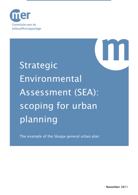

# Strategic Environmental Assessment (SEA): scoping for urban planning

The example of the Skopje general urban plan

• November 2011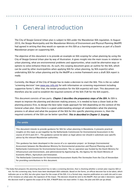# **General introduction**

The City of Skopje General Urban plan is subject to SEA under the Macedonian SEA regulation. In August 2010, the Skopje Municipality and the Macedonian Ministry of Environment and Physical Planning (MoEPP) had agreed in writing that they would co-operate on this SEA as a learning experience as part of a Dutch Macedonian project on supporting SEA.

The objective of this document is to provide an example on SEA scoping for urban planning by using the City of Skopje General Urban plan by way of illustration. It gives insight into the main issues in relation to urban planning, what are environmental problems and opportunities, what could be alternative ways or options to solve/enhance these etc. As such, this scoping document gives an outline for the SEA, which can be used by other municipalities when applying SEA for urban planning, by SEA expert(s) when undertaking SEA for urban planning and by the MoEPP as a review framework once a draft SEA report is ready.

Currently, the Mayor of the City of Skopje has to make a decision to start the SEA. This is the so-called 'screening decision' (see [www.sea-info.mk](http://www.sea-info.mk/) for with information on screening requirement including supportive forms<sup>[1](#page-1-0)</sup>). After that, the tender procedure for the SEA expert(s) will start. This document can therefore also be used to establish the required contents of the SEA (ToR for the SEA expert)..

This document consists of two parts. *Chapter 2 describes the preparatory steps of the SEA*. As SEA is meant to improve the planning and decision making process, it is needed to have a closer look at the planning process first, to design the best tailor made approach for SEA depending on the context of the General urban plan. Once there is a good understanding amongst all stakeholders what the planning process is all about and what the purpose of the SEA for this specific planning process is, then the required contents of the SEA can be better specified. This in described in Chapter 3. Scoping.

#### Pre-amble

This document intends to provide guidance for SEA for urban planning in Macedonia. It presents practical insights on this topic as put together by the Netherlands Commission for Environmental Assessment in the course of 2010 and 2011. The guidance cannot be taken as legal advice nor should it substitute case specific advice by the relevant Macedonian authorities.

This guidance has been developed in the course of a co-operation project on Strategic Environmental Assessment between the Macedonian Ministry for Environmental protection and Physical Planning and the Netherlands Commission for Environmental Assessment. The co-operation was funded by the Dutch Ministry for Infrastructure and Environment, and administered by Agentschap NL, the Agency for the Dutch Ministry of Economic Affairs, Agriculture and Innovation.

The Netherlands Commission for Environmental Assessment thanks Pim Vermeulen from the City of Amsterdam for providing contributions to this document.

-

<span id="page-1-0"></span><sup>&</sup>lt;sup>1</sup> The body that prepares the planning document has to take a screening decision, that is checking whether a certain plan requires SEA or not. For this screening step, forms have been developed (SEA rulebook). Based on the forms, an official decision has to be taken, which indicates yes or no SEA, but also gives input for the scope of the SEA. It is a formal step, requires publication on a web site and in case of for instance an urban plan, the signature of the mayor. The decision should be sent to the MoEPP, that can take 2 decisions: against the decision itself or against the scope of the SEA. If MoEPP does not react within 15 days, the plan and SEA can go ahead.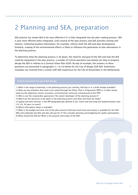# 2 Planning and SEA, preparation

SEA practice has shown SEA to be most effective if it is fully integrated into the plan-making process. SEA is also more efficient when integrated, since several of the plan process and SEA activities overlap and interact. Collecting baseline information, for example, informs both the SEA and plan development. Similarly, scoping of the environmental effects is likely to influence the generation of plan alternatives in the planning process.

To determine what the planning process is all about, the need for and goal of the SEA and how the SEA could be integrated in the plan process, a number of critical questions (see below) can help to properly design the SEA in relation to a General Urban Plan (GUP). By way of example, the answers to these questions are presented in paragraphs 2.1 to 2.8 below for the City of Skopje GUP/SEA. Sometimes examples are inserted from a similar GUP/SEA experience for the City of Amsterdam in the Netherlands.

#### Critical questions for good SEA design

1) What is the stage of planning: is the planning process just starting, half way or is a draft already available? 2) What are the problems that need to be solved through the Policy, Plan or Programme (PPP) or in other words: what are the objectives (social, economic, environmental, technical, institutional) of this PPP?

3) Who is/are the responsible agency(ies) ('the owner/developer of the planning process')?

4) Which are the decisions to be taken in the planning process and when will these be made?

5) Spatial and time horizon; is the PPP geographically defined (if yes, how?) and how long will implementation take (10, 20, 30 years or more?)

6) Which information (data) is available?

7) What is the budget and time-line of the plan process? And how much time and money is available for the SEA? Who will undertake the SEA and who will pay for it? This includes planning and budgeting for public participation. 8) What should the SEA do? What is the purpose and scope of the SEA?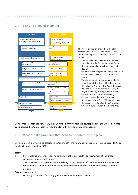# 2.1 SEA and stage of planning



The figure on the left shows how the plan process and SEA process are linked (general urban planning process in blue, SEA process in yellow).

- The Faculty of Architecture won the tender procedure for the Program of work for the General Urban plan, which was finalized in Nov. 2011.
- On basis of the Program of work, a draft plan will be made, which will take around 10 months

The draft plan will be presented to the City council, public hearings will be held and in the following 4 months the Plan is finalized. • Now the Program of work is available, the Mayor of the City of Skopje has to make a decision to start the SEA ('screening decision'). After that, the Environment Department of the City of Skopje will start the tender procedure for the SEA expert , which will take between 2 and 3 months.

# Good Practice: From the very start, the SEA runs in parallel with the development of the GUP. This offers good possibilities to pro-actively feed the plan with environmental information.

# 2.2 What are the problems that need to be solved by the plan?

During a preliminary scoping session in October 2010, the following key problems/issues were identified for the General Urban Plan/SEA.

# **Traffic**

- o Key problems are congestion, noise and air pollution, insufficient protection of the urban environment from traffic impacts.
- o The collective transportation system (relying on busses) is insufficient, while there is great need for collective transport to reduce traffic problems and give those on lower incomes transport options.

# Green areas in the city

o Ensuring protection of existing green areas (now being encroached on)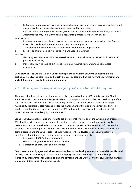- o Better incorporate green areas in city design, choose where to locate new green areas, how to link green areas, better balance between green areas and built up areas.
- o Improve understanding of relevance of green areas for quality of living environment, city climate, water retention etc, so that they can be better incorporated into the urban design.

## Infrastructure

- o Key issues are water supply and wastewater treatment (new capacity is needed, so the General Urban plan needs to allocate location for new treatment plant.)
- o Transitioning household heating systems from wood burning to gasification.
- o Possibly additional electricity generation plant needed (gas fired)

# Industry

- o Managing existing industrial activity (steel, cement, chemical industry), as well as locations of possible new activity
- o Industrial activity is causing emissions to air, and requires waste water and solid waste management

# Good practice: The General Urban Plan will develop a set of planning solutions to deal with these problems. The SEA can help to make the right choices, by assuring that the relevant environmental and social information is available at the right moment.

# 2.3 Who is/are the responsible agency(ies) and what should they do?

The owner/developer of the planning process is also responsible for the SEA. In this case, the Skopje Municipality will prepare the new Skopje city General urban plan, which provides the overall design of the city. The detailed design is then the responsibility of the 10 sub-municipalities. The City of Skopje municipality therefore is also responsible for the management of the plan development and SEA. This implies control of the developments in both the SEA and planning process, and ensuring that both processes use the same designs, plans, data, etc.

Sound Plan/SEA management is important to achieve optimal integration of the SEA and plan processes, SEA should provide inputs at each stage of planning. It is also considered good practice to involve decision-makers and stakeholders in the process as much as possible. SEA generates information that influences the planning process. During plan development new ideas continually emerge and ideas are being discarded and the SEA procedure should respond to these developments. SEA management therefore is about 3 processes, that need to be managed separately, namely:

- o Integration of SEA findings into planning
- o Process/Dialogue of stakeholder involvement
- o Generation of knowledge and information

Good practice: Clearly agree with all key actors involved in the development of the General Urban Plan and the SEA, such as the Faculty of Architecture, the Agency for Spatial Planning, the City of Skopje Municipality (Department for Urban Planning and Environment Department) and the SEA expert(s) on tasks and responsibilities and who manages what.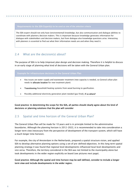## Requirements to the SEA Expert(s) to be used as one of the selection criteria

The SEA expert should not only have (environmental) knowledge, but also communication and dialogue abilities to coordinate with planners/decision makers. This is important because knowledge generates information for dialogue with stakeholders and decision makers, but from dialogue also knowledge questions arise. Interacting with planners is essential to find out what their information needs are and when they need it.

# 2.4 What are the decision(s) about?

The purpose of SEA is to help (improve) plan design and decision making. Therefore it is helpful to discuss in an early stage of planning what kind of decisions will be taken with the General Urban plan.

# Example for infrastructure decisions in the General Urban Plan

- Key issues are water supply and wastewater treatment (new capacity is needed, so General urban plan needs to allocate location for new treatment plant)
- Transitioning household heating systems from wood burning to gasification.
- Possibly additional electricity generation plant needed (gas fired), if so where?

Good practice: In determining the scope for the SEA, all parties should clearly agree about the kind of decisions or planning solutions that the plan will consider

# 2.5 Spatial and time horizon of the General Urban Plan?

The General Urban Plan will be made for 10 years and is in principle limited to the administrative boundaries. Although the planning horizon is 2012-2022, it is recommended to take into consideration a longer term view (necessary from the perspective of development of the transport system, which will have a much longer time horizon).

For example, the city of Amsterdam in the Netherlands, prepared a spatial structure vision, and applied SEA to develop alternative planning options using a set of pre-defined objectives. In this long term spatial planning strategy it was found that regional level developments influenced local level developments and vice versa. Therefore, the territory considered in the SEA was not limited to the municipality alone but took developments in the wider region explicitly on board (see pictures next page).

Good practice: Although the spatial and time horizon may be well defined, consider to include a longer term view and include developments in the wider region.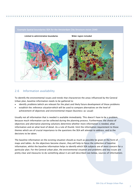

# 2.6 Information availability

To identify the environmental issues and trends that characterize the areas influenced by the General Urban plan, baseline information needs to be gathered to:

- identify *problems* (which are relevant for the plan) and likely future development of those problems
- establish the *reference situation* which will be used to compare alternatives on the level of achievement of objectives and environmental impact (business-as-usual)

Usually not all information that is needed is available immediately. This doesn't have to be a problem, because much information can be collected during the planning process. Furthermore: the choice of objectives and alternative planning solutions determine whether more information is needed, what information and on what level of detail. As a rule of thumb: limit the information requirement to those themes which are of crucial importance to the questions the SEA will attempt to address, and to the decisions to be taken.

The baseline information on the existing situation should as much as possible be given in the form of maps and tables. As the objectives become clearer, they will help to focus the collection of baseline information, whilst the baseline information helps to identify which SEA subjects are of most concern for a particular plan. For the General urban plan, the environmental situation and problems and key issues are pretty clear and measures to do something about it are well described (see below, sources of information).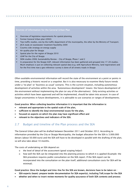## Sources of information for the General Urban Plan

- o Overview of legislative requirements for spatial planning
- o Former General Urban plan (2002)
- $\circ$  Two traffic studies, one by the traffic department of the municipality, the other by the Ministry of Transport.
- o JICA study on wastewater treatment feasibility 2009
- o Country side strategy on energy supply
- o Air quality plan for Skopje
- o Spatial plan for the region of Skopje 2010
- o LEAP for the City of Skopje
- o SIDA studies 2008, Sustainability Review City of Skopje, Phase 1 and 2
- o In preparation for the Skopje GUP, relevant information has been gathered and grouped into 17-20 studies. Much emphasis is put on collecting relevant spatial data (e.g. with Agriculture Ministry, land registration) and for the first time now a geo reference-survey is done of all streets/roads in Skopje

Often available environmental information will record the state of the environment at a point or points in time, providing a historic record or a snapshot. But it is also necessary to examine likely future trends under a 'no plan' or 'business as usual' scenario. This is the current situation, including autonomous development of activities within the area. 'Autonomous development' means: the future development of the environment without implementing the plan (or any of the alternatives). Only existing activities or activities which have been approved and will be implemented, should be taken into account. In case of (large) uncertainties in future developments, it is advisable to use scenarios or ranges of developments.

#### Good practice: When collecting baseline information it is important that the information is:

- relevant and appropriate to the spatial scale of the plan,
- sufficient to identify the (key) environmental issues for the plan,
- focused on aspects on which the plan may have significant effect and
- relevant to the objectives and indicators of the SEA.

# 2.7 Budget and timeline of the Plan process and the SEA

The General Urban plan will be drafted between December 2011 and October 2012. According to information provided by the City or Skopje Municipality, the budget allocation for the SEA is 3.000.000 denars (about 50.000 euro) and the SEA will have to be developed in parallel with the drafting of the plan, so will also take about 10 months.

The costs of undertaking an SEA depend on:

- o the level of detail of the assessment (good scoping helps!)
- $\circ$  how well the SEA can be integrated into the planning process to which it is applied (Example: the SEA procedure requires public consultation on the SEA report. If the SEA report can be incorporated into the consultation on the plan itself, additional consultation costs for SEA will be minimal).

#### Good practice: Once the budget and time-line for the SEA are known, decisions have to be taken on :

- SEA experts (team): prepare tender documentation for SEA expert(s), including ToR/scope for the SEA
- whether and when to insert review moments for quality assurance of both SEA contents and process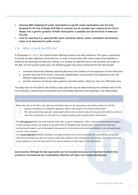planning AND budgeting for public participation (a specific public participation plan has been designed for the City of Skopje GUP/SEA, an example can be provided upon request by the City of Skopje. Also a generic guidance of Public Participation is available and can be found on www.seainfo.mk)

 costs for reporting (e.g. approved SEA report, workshop reports, public consultation documented, copies to be deposited for public access)

# 2.8 What should the SEA do?

In Paragraphs 2.1 to 2.7 the General Urban Planning process has been analyzed. This gives a good basis to decide on what objectives of the SEA are. In order to know when SEA results have to be available to influence the planning and decision making, it is needed to explicitly discuss the purpose and scope of the SEA. For the General urban plan, the following goals have been mentioned for the SEA already:

- overcome disconnect between planning decisions and analysis of consequences of those decisions
- provide overview of all issues, overcome fragmentation of assessment and planning across the different departments in the municipality
- provide inventory of relevant plans/policies and information, which are now not sufficiently clear

The objectives for the SEA for the General urban plan will also be determined by the ambition level of the City of Skopje in achieving environmental and sustainable objectives and challenges (see table below).

# What should the SEA do? How to determine ambition level?

Before the start of the SEA a clear decision should be taken on the approaches that will be chosen for the SEA:

- Reactive (avoidance or mitigation) approach: what is the impact of the General urban plan?
- Pro-active (planning) approach: what opportunities and constraints does the natural environment provide to take into consideration in the plan? E.g. trough providing and including better alternatives?

The *first approach* takes the draft General urban plan as point of departure. Then, social and environmental impacts of each feasible solution are looked at and what kind of mitigating and compensatory measures for social and environmental impacts can be developed. Improvement of social and environmental problems is not an explicit goal in itself in this situation

The **second approach** identifies problems and opportunities from an environmental and sustainability perspective right from the beginning, then the General urban plan solutions that contribute to the solution of environmental and social problems on the one hand and do not cause problems in itself again on the other hand.

Good practice: Although the two approaches are not mutually exclusive, it is important to decide how prominent environmental and sustainability objectives will play a role in plan development.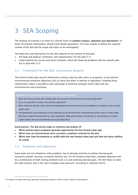# 3 SEA Scoping

The purpose of scoping is to come to a shared vision on problem analysis, objectives and alternatives<sup>[2](#page-9-0)</sup> on which all relevant stakeholders should reach ideally agreement. This then enables to define the required content of the SEA and the scope and topics to be investigated.

The objectives and alternatives for the plan depend on the context of that plan:

- the legal and political 'conditions' and 'opportunities' for the plan (3.1)
- understanding the current and future situation, which will show the problems that the specific plan has to deal with (3.2)

# 3.1 Framework for the SEA, consistency analysis

The General Urban plan may be influenced in various ways by other plans or programs, or by external environmental protection objectives such as those laid down in policies or legislation. Knowing these relationships makes it possible to take advantage of potential synergies and to deal with any inconsistencies and constraints.

Questions for analysis during scoping to focus discussion:

- Does the General urban plan already take into account environmental and social objectives?
- If so, is it possible to make a list of these objectives?
- What would be the five main current and potential environmental and social problems in relation to the General urban plan?
- Environmental/social objectives to be achieved can be derived from environmental action plans or other plans that have stated environmental or social objectives. What kind of plans/documents or conventions or treaties could contain these environmental and social objectives?

Good practice: The SEA should make an inventory and analysis of:

- Which policies/plans/programs generate opportunities for the General urban plan
- Which ones set environmental socio-economic conditions (criteria) for the plan
- Which ones have the potential to conflict with the new General urban plan and how can these conflicts be solved.

# 3.2 Problems and objectives

Some plans are not initiated to solve problems, but to develop activities to achieve desired goals (economic growth, housing, recreation facilities etc). For the General urban plan, probably objectives will be a combination of both solving problems (see 2.2) and achieving desired goals. The SEA helps to make the right choices, that is the "best strategies and measures" according to selected criteria.

-

<span id="page-9-0"></span><sup>2</sup> In relation to urban planning, generally 'planning solutions' will be used in stead of 'alternatives'.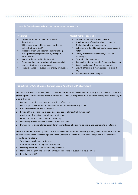## Example from the Netherlands: Structure vision Amsterdam

#### Problems

- o Resistance among population to further densification
- o Which large scale public transport project to realize first (priorities)?
- o Attractive green and water implies increasing use & pressure; fragmentation by transport infrastructure
- o Space for the car within the inner city?
- o Combining housing, working and recreation is in conflict with interests of enterprises
- o Space is needed for sustainable energy production

#### Objectives/desired goals

- o Expanding the highly urbanized core
- o Broad package of residential environments
- o Regional public transport system
- o Cohesion of urban life and public space, green & water
- o Variety of commercial activities, accent on knowledge
- o Future for the main-ports
- o Sustainable climate-friendly & water resistant city
- o Socially sustainable & un-segregated city
- o Growth of tourism & more spread-out over the city
- o Accommodate 2028 Olympics

# Objectives for City of Skopje General Urban Plan (from SIDA study 2008)

The General Urban Plan defines the basic solutions for the future development of the city and it serves as a basis for preparing Detailed Urban Plans by the municipalities. The GUP will provide more balanced development of the City of Skopje through:

- o Optimizing the size, structure and functions of the city
- o Equal physical distribution of the economic and non-economic capacities
- o Urban reconstruction and restoration
- o Review of the existing spatial conditions and zones of industrial development
- o Application of sustainable development principles
- o Protection of the historical identity of the city
- o Organizing a more efficient system of public transport
- o Developing institutional mechanism for implementation of planning solutions and appropriate monitoring

There is a number of planning issues, which have been left out in the previous planning round, that now is proposed to be addressed in the forthcoming work on the General Urban Plan for the City of Skopje. The most prominent issues to be included are:

- o Sustainable development principles
- o Alternative concepts for spatial development
- o Planning measures for environmental protection
- o Monitoring the plan implementation through indicators of sustainable development
- o Introduction of GIS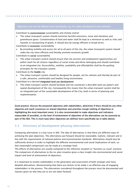# Objectives can also be defined more specifically, e.g. for urban development and transport:

Contribute to environmental sustainability and climate control

The urban (transport) system should minimize harmful emissions, noise and vibrations and greenhouse gases. Contamination of land and water shall be kept at a minimum as well as risks and hazards in transporting of goods. It should also be energy efficient in broad terms.

Contribute to economic sustainability

By providing mobility and access for all to all parts of the city, the urban (transport) system should make the city more efficient and thereby promote economic growth.

Contribute to social sustainability

 $\circ$  The urban transport system should ensure that city services and employment opportunities are within reach for all citizens regardless of social strata and ethnic belonging and should contribute to an integrated city. Accessibility, mobility, availability and affordability shall be the guiding principles for the transport system.

Contribute to the livable city

The urban transport system should be designed for people, not for vehicles and thereby be part of a safe, attractive, comfortable and healthy living environment.

Contribute to a desired integrated land use development

o The urban transport system should facilitate and not counteract a desirable land use pattern and spatial development of the city. Consequently this means that the urban transport system shall be an integrated part of the sustainable development of the City, both in terms of planning and implementation.

Good practice: Discuss the proposed objectives with stakeholders, determine if there should be any other objective and reach consensus on shared objectives and priorities (rough ranking of objectives or highlighting the most important ones). It is also recommended to make objectives and indicators measurable (if possible), so the level of achievement of objectives of the alternatives can be assessed as part of the SEA. This is more easy when objectives are defined more specifically (as in table above).

# 3.3 Directions of development (phasing/alternatives)

Comparing alternatives is a key issue in SEA. The idea of alternatives is that there are different ways of achieving the plan objectives. The alternatives put forward should be reasonable, realistic, relevant and in line with the requirements of national policies and environmental standards. Alternatives should also be sufficiently distinct in order to highlight the different environmental and social implications of each, so that meaningful comparisons can be made at a strategic level.

The effects of alternatives are usually compared to the reference situation or 'business as usual' scenario. The comparison of alternatives to the no-plan situation gives a clear insight into environmental and social impact and level of achievement of objectives.

It is important to involve stakeholders in the generation and assessment of both strategic and more detailed alternatives. Demonstrating that there are choices to be made is an effective way of engaging stakeholders in the process. The alternatives considered throughout the process must be documented and reasons given on why they are or are not taken forward.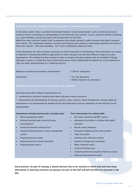#### Example for the City of Skopje General urban plan on development of alternatives

In the urban system, there is constant interrelation between "urban fundamentals", such as land use and socioeconomic factors (including e.g. demography) on one hand and "sub-systems" such as technical systems (including e.g., waste handling, energy and water) and transportation on the other.

Within the urban transport system itself, components like private transport, public transport and goods transport also interact. The coordination between transport and technical sub-systems is particularly important and some of these sub-systems – like waste handling – are in fact in themselves logistical issues.

Three alternatives for urban transport and land use will be presented in the following. These alternatives are meant to represent fundamentally different approaches to urban transport that will have different impacts on urban development. This method has been chosen in order to visualize the policy options that are available to Skopje, although in reality it is likely that none of these alternatives will be deliberately formulated nor strictly adhered to. They are rather presented here as a 'thinking exercise'.

Reference situation & autonomous development: 0 'Ad Hoc' alternative

Alternatives: 1 Car city alternative 2 Public transport city alternative

#### Building alternatives for the General urban plan, example

Each alternative offers different opportunities for:

- combining the transport scenarios with water and green/nature structures;
- improvement and development of housing, business areas, industry, waste management, energy supply etc. Interventions can subsequently be worked out for each alternative, and two categories of interventions can be distinguished:

#### Interventions (already planned and/or decided upon)

- Waste management plant
- Minimal housing need, diversity (living environments)
- Projected transport infrastructure
- Projected improvements in water management system
- Projected business areas
- Projected social & cultural amenities
- Projected green spaces

#### 'Free' interventions (to combine with)

- Bus-lanes (network) and BRT system
- Allocation of activities in relation with public transport
- Bicycle routes (network)
- Ecological stepping stones and corridors
- Light rail system
- Parking zones (allocation policy)
- Industrial energy park (synergies)
- Water retention areas?
- Cultural heritage areas
- Improving diversity & quality of business areas
- Restructuring industrial zones

Good practice: As part of scoping, a shared decision has to be reached on which kind and how many alternatives or planning solutions are going to be part of the GUP and will therefore be assessed in the **SEA**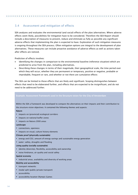# 3.4 Assessment and mitigation of effects

SEA analyzes and evaluates the environmental (and social) effects of the plan/alternatives. Where adverse effects seem likely, possibilities for mitigation have to be considered. Therefore the SEA Report should include a description of measures to prevent, reduce and eliminate as fully as possible any significant adverse effects that implementing the plan is expected to have. Exploration of such mitigation measures is ongoing throughout the SEA process. Often mitigation options are integral to the development of plan alternatives. These measures can include proactive avoidance of adverse effects as well as actions taken after effects are noticed.

Prediction of effects involves:

- Identifying the changes in comparison to the environmental baseline (reference situation) which are predicted to arise from the plan, including alternatives.
- Describing these changes in terms of their magnitude, their geographical scale, the time period over which they will occur, whether they are permanent or temporary, positive or negative, probable or improbable, frequent or rare, and whether or not there are cumulative effects

The SEA can be limited to those effects that are likely and significant. Scoping distinguishes between effects that need to be elaborated further, and effects that are expected to be insignificant, and do not need to be addressed further.

# Example: Assessment framework used in the Structure vision for the City of Amsterdam

Within the SEA a framework was developed to compare the alternatives on their impacts and their contribution to the structure vision objectives. It contained the following themes and aspects:

#### Nature

- **·** impacts on (provincial) ecological corridors
- **·** impacts on national buffer zones
- **·** impacts on Natura 2000 areas

#### Landscape

- connections, openness
- **·** impacts on visual, culture history elements

#### Climate proof (physically sustainable)

- energy and CO2, amount of energy savings and sustainable energy generation
- water: safety, droughts and flooding

#### Living quality (socially sustainable)

- **·** identity (diversity), flexibility, accessibility and ownership
- noise hindrance, air quality and social safety

#### Spatial economy

**E** industrial areas, availability and diversity of working areas

#### Mobility and accessibility

- **\*** transport networks
- modal split (public/private transport)
- **accessibility**
- accessibility location Olympic Games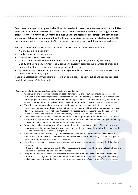Good practice: As part of scoping, it should be discussed which assessment framework will be used. Like in the above example of Amsterdam, a similar assessment framework can be used for Skopje City (see below). However, a variety of SEA methods is available for the assessment of effect of the plan and its alternatives. Before deciding on a method it is helpful to consider the methods available, and select the methods most suited to the range of effects expected, the plan process and the resources available.

Relevant themes and aspects in an assessment framework for the City of Skopje could be:

- Nature: ecology & biodiversity
- Landscape (structure, openness),
- Cultural heritage, Archaeology
- Climate-proof: energy supply, reduction CO2; water management (flood risks, availability
- Quality of the living environment (social cohesion): diversity, disturbances, nearness of green and opportunities for recreation; noise nuisance, air quality, risks)
- Spatial economy: peri-urban agriculture, (forestry?), supply and diversity of industrial zones business and service areas, ICT, Airport

Mobility & accessibility: infrastructure (pressure on public space, quality), public and private transport (modal split, capacity), freight traffic

#### Some points of attention on considering the effects of a plan in SEA:

- Where a plan or programme includes proposals for individual projects, these should be assessed in sufficient level to enable significant environmental effects to be broadly predicted. If EIA is needed later for the project, it is likely to be informed by the findings of the SEA, but it will not usually be appropriate or even possible to provide the level of detail needed for EIA in the context of the plan or programme.
- The effects do not always have to be expressed in quantitative terms. Quantification is not always practicable, and qualitative, broad-brush methods can be equally valid for a strategic assessment study. However, qualitative should not mean "guessed". The assessment conclusions should be supported by evidence, such as the results of studies undertaken, expert discussions or consultation.
- Effects may be expressed in easily understood terms such as "getting better or worse" or a scale from  $++$ (very positive) to – - (very negative). But the predictions could also be more detailed and quantitative, e.g. a measurable effect would be: "20% reduction of noise nuisance"
- When using symbols or other ways of presenting information regarding the likely effects (e.g. positive, negative, uncertain, not significant), always explain and justify the choice of symbol with reference to the baseline situation relevant to the SEA objective.
- Consider whether the effect is likely to be permanent or temporary, and the timescale over which the effect is likely to be observed. The timescales themselves will also vary depending on the type of plan or programme and the alternatives being considered.
- Consider the effects of displacement of environmental problems to other areas as a result of the plan or programme
- If there are risks or uncertainties attached to the assessment, these should be clearly stated. If effects are uncertain, it is advisable to work with effect ranges
- Many environmental problems result from the accumulation of multiple small and often indirect effects, rather than a few large and obvious ones. Examples include loss of tranquility, changes in the landscape and climate change. It is at the SEA level that those effects are most effectively identified and addressed.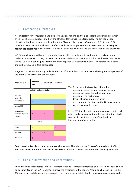# 3.5 Comparing alternatives

It is important for consultation and also for decision-making on the plan, that the report shows which effects will be most serious, and how the effects differ across the alternatives. The environmental objectives that have been devised earlier in the SEA and plan process (Paragraphs 2.8, 3.1 and 3.2), provide a useful tool for evaluation of effects and cross-comparison. Each alternative can be weighed against the objectives to see whether it does, or does not, contribute to the realization of the objectives.

In SEA, matrices and tables are commonly used to aid comparisons. As an input to a decision about preferred alternatives, it may be useful to summarize the assessment results for the different alternatives in one table. This can help to identify the most appropriate alternative overall. The *reference situation* should be included in this comparison.

Fragment of the SEA summary table for the City of Amsterdam structure vision showing the comparison of the alternatives across the set of criteria.

| Alternatives $\rightarrow$                 | Ringzone -<br>plus             | <b>Waterfront</b> | South flank | The 3 conside                                                |
|--------------------------------------------|--------------------------------|-------------------|-------------|--------------------------------------------------------------|
|                                            | location o<br><b>locations</b> |                   |             |                                                              |
| transport<br>networks                      |                                |                   |             | location o<br>٠<br>design of<br>reservatio<br>use of su<br>٠ |
| modal split                                | $+$                            | $+$               | $+$         |                                                              |
| accessibility                              |                                |                   |             |                                                              |
| accessibility<br>location Olympic<br>Games | $\Omega$                       | $\mathbf{0}$      | $+ +$       | In the SEA the<br>other, and als<br>represents "b            |
|                                            | Water                          |                   |             | introduction o                                               |
| safety                                     |                                |                   | $\Omega$    |                                                              |

| safety   |  |  |
|----------|--|--|
| flooding |  |  |
| droughts |  |  |

# ered alternatives differed in:

- of areas for housing and working
- of areas for public transport
- of the harbor area
- water and green areas
- on for location for the Olympic games
- stainable energy

e alternatives where compared with each so against the reference situation which usiness as usual", without the of new policies.

Good practice: Decide on how to compare alternatives. There is not one "correct" comparison of effects and alternatives: different comparisons will reveal different aspects, and more than one may be useful

# 3.6 Gaps in knowledge and uncertainties

Any difficulties encountered in the assessment (such as technical deficiencies or lack of know-how) should be documented in the SEA Report to improve the credibility of the report. People quickly lose trust in the SEA document and the authority responsible for it when purposefully hidden shortcomings are revealed in